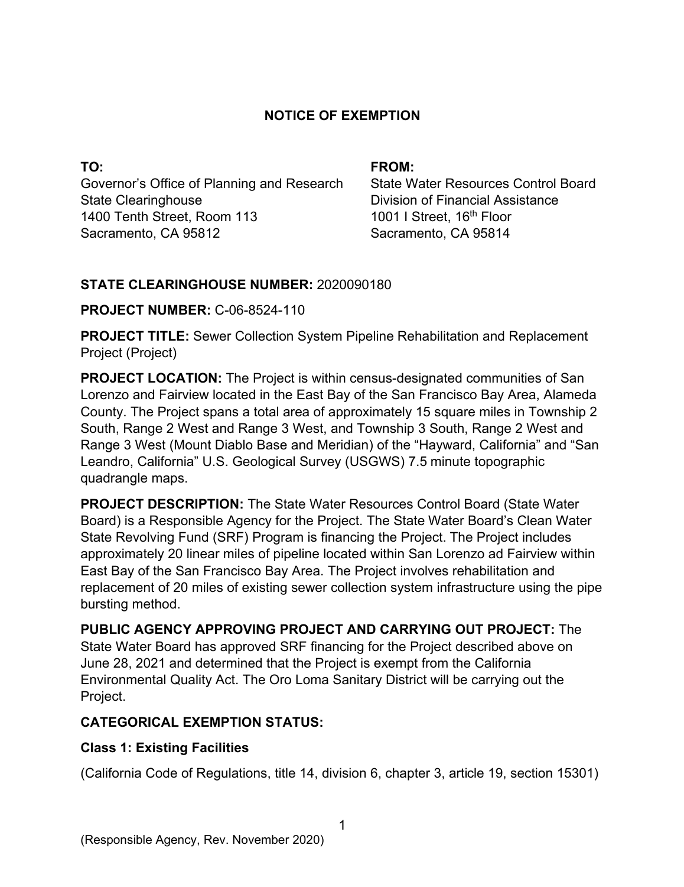## **NOTICE OF EXEMPTION**

**TO:**  Governor's Office of Planning and Research State Clearinghouse 1400 Tenth Street, Room 113 Sacramento, CA 95812

### **FROM:**

State Water Resources Control Board Division of Financial Assistance 1001 I Street, 16<sup>th</sup> Floor Sacramento, CA 95814

### **STATE CLEARINGHOUSE NUMBER:** 2020090180

### **PROJECT NUMBER:** C-06-8524-110

**PROJECT TITLE:** Sewer Collection System Pipeline Rehabilitation and Replacement Project (Project)

**PROJECT LOCATION:** The Project is within census-designated communities of San Lorenzo and Fairview located in the East Bay of the San Francisco Bay Area, Alameda County. The Project spans a total area of approximately 15 square miles in Township 2 South, Range 2 West and Range 3 West, and Township 3 South, Range 2 West and Range 3 West (Mount Diablo Base and Meridian) of the "Hayward, California" and "San Leandro, California" U.S. Geological Survey (USGWS) 7.5 minute topographic quadrangle maps.

**PROJECT DESCRIPTION:** The State Water Resources Control Board (State Water Board) is a Responsible Agency for the Project. The State Water Board's Clean Water State Revolving Fund (SRF) Program is financing the Project. The Project includes approximately 20 linear miles of pipeline located within San Lorenzo ad Fairview within East Bay of the San Francisco Bay Area. The Project involves rehabilitation and replacement of 20 miles of existing sewer collection system infrastructure using the pipe bursting method.

**PUBLIC AGENCY APPROVING PROJECT AND CARRYING OUT PROJECT:** The State Water Board has approved SRF financing for the Project described above on June 28, 2021 and determined that the Project is exempt from the California Environmental Quality Act. The Oro Loma Sanitary District will be carrying out the Project.

# **CATEGORICAL EXEMPTION STATUS:**

# **Class 1: Existing Facilities**

(California Code of Regulations, title 14, division 6, chapter 3, article 19, section 15301)